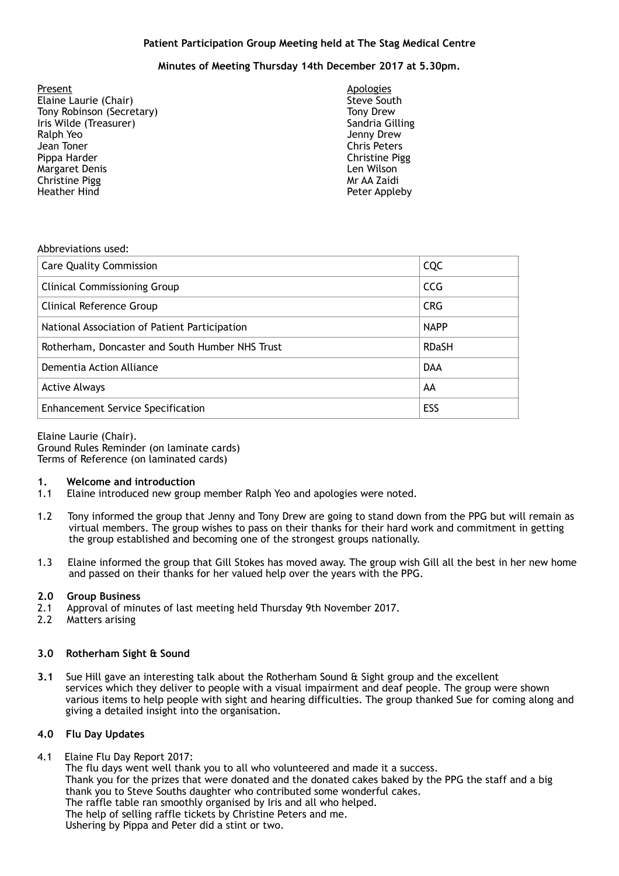## **Patient Participation Group Meeting held at The Stag Medical Centre**

# **Minutes of Meeting Thursday 14th December 2017 at 5.30pm.**

Present Apologies Elaine Laurie (Chair) Tony Robinson (Secretary) Tony Drew Iris Wilde (Treasurer) Sandria Gilling (Sandria Gilling Ralph Yeo Jean Toner Chris Peters Pippa Harder Christine Pigg **Margaret Denis** Christine Pigg **Mr AA Zaidi** Mr AA Zaidi Heather Hind **Peter Appleby** 

Jenny Drew

#### Abbreviations used:

| <b>Care Quality Commission</b>                  | <b>CQC</b>   |
|-------------------------------------------------|--------------|
| <b>Clinical Commissioning Group</b>             | <b>CCG</b>   |
| Clinical Reference Group                        | <b>CRG</b>   |
| National Association of Patient Participation   | <b>NAPP</b>  |
| Rotherham, Doncaster and South Humber NHS Trust | <b>RDaSH</b> |
| Dementia Action Alliance                        | <b>DAA</b>   |
| <b>Active Always</b>                            | AA           |
| <b>Enhancement Service Specification</b>        | ESS          |

### Elaine Laurie (Chair).

Ground Rules Reminder (on laminate cards) Terms of Reference (on laminated cards)

### **1. Welcome and introduction**

- 1.1 Elaine introduced new group member Ralph Yeo and apologies were noted.
- 1.2 Tony informed the group that Jenny and Tony Drew are going to stand down from the PPG but will remain as virtual members. The group wishes to pass on their thanks for their hard work and commitment in getting the group established and becoming one of the strongest groups nationally.
- 1.3 Elaine informed the group that Gill Stokes has moved away. The group wish Gill all the best in her new home and passed on their thanks for her valued help over the years with the PPG.

### **2.0 Group Business**

- 2.1 Approval of minutes of last meeting held Thursday 9th November 2017.
- 2.2 Matters arising

### **3.0 Rotherham Sight & Sound**

**3.1** Sue Hill gave an interesting talk about the Rotherham Sound & Sight group and the excellent services which they deliver to people with a visual impairment and deaf people. The group were shown various items to help people with sight and hearing difficulties. The group thanked Sue for coming along and giving a detailed insight into the organisation.

### **4.0 Flu Day Updates**

4.1 Elaine Flu Day Report 2017:

 The flu days went well thank you to all who volunteered and made it a success. Thank you for the prizes that were donated and the donated cakes baked by the PPG the staff and a big thank you to Steve Souths daughter who contributed some wonderful cakes. The raffle table ran smoothly organised by Iris and all who helped. The help of selling raffle tickets by Christine Peters and me. Ushering by Pippa and Peter did a stint or two.